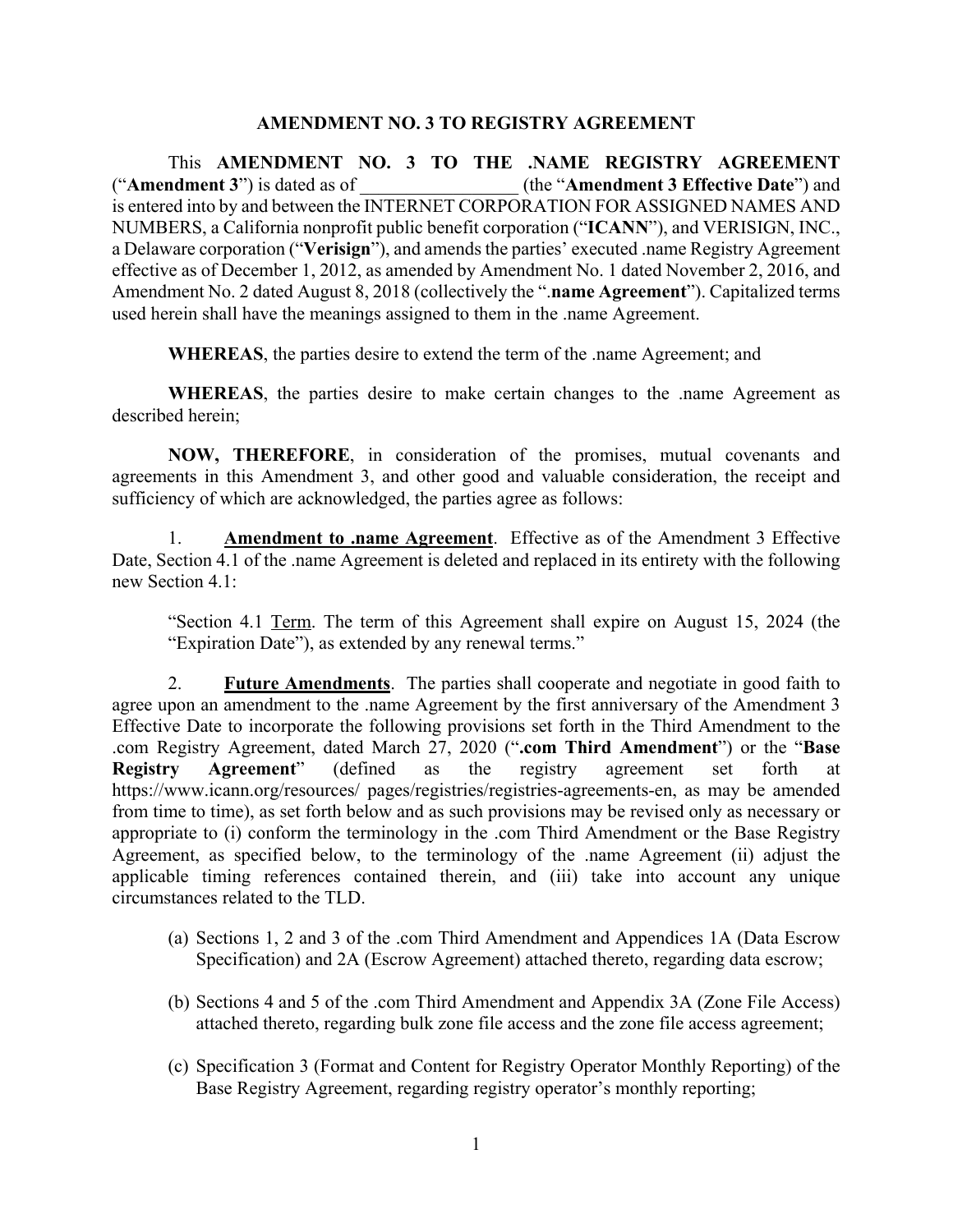## **AMENDMENT NO. 3 TO REGISTRY AGREEMENT**

This **AMENDMENT NO. 3 TO THE .NAME REGISTRY AGREEMENT** ("**Amendment 3**") is dated as of \_\_\_\_\_\_\_\_\_\_\_\_\_\_\_\_\_ (the "**Amendment 3 Effective Date**") and is entered into by and between the INTERNET CORPORATION FOR ASSIGNED NAMES AND NUMBERS, a California nonprofit public benefit corporation ("**ICANN**"), and VERISIGN, INC., a Delaware corporation ("**Verisign**"), and amends the parties' executed .name Registry Agreement effective as of December 1, 2012, as amended by Amendment No. 1 dated November 2, 2016, and Amendment No. 2 dated August 8, 2018 (collectively the ".**name Agreement**"). Capitalized terms used herein shall have the meanings assigned to them in the .name Agreement.

**WHEREAS**, the parties desire to extend the term of the .name Agreement; and

**WHEREAS**, the parties desire to make certain changes to the .name Agreement as described herein;

**NOW, THEREFORE**, in consideration of the promises, mutual covenants and agreements in this Amendment 3, and other good and valuable consideration, the receipt and sufficiency of which are acknowledged, the parties agree as follows:

1. **Amendment to .name Agreement**. Effective as of the Amendment 3 Effective Date, Section 4.1 of the .name Agreement is deleted and replaced in its entirety with the following new Section 4.1:

"Section 4.1 Term. The term of this Agreement shall expire on August 15, 2024 (the "Expiration Date"), as extended by any renewal terms."

2. **Future Amendments**. The parties shall cooperate and negotiate in good faith to agree upon an amendment to the .name Agreement by the first anniversary of the Amendment 3 Effective Date to incorporate the following provisions set forth in the Third Amendment to the .com Registry Agreement, dated March 27, 2020 ("**.com Third Amendment**") or the "**Base Registry Agreement**" (defined as the registry agreement set forth at https://www.icann.org/resources/ pages/registries/registries-agreements-en, as may be amended from time to time), as set forth below and as such provisions may be revised only as necessary or appropriate to (i) conform the terminology in the .com Third Amendment or the Base Registry Agreement, as specified below, to the terminology of the .name Agreement (ii) adjust the applicable timing references contained therein, and (iii) take into account any unique circumstances related to the TLD.

- (a) Sections 1, 2 and 3 of the .com Third Amendment and Appendices 1A (Data Escrow Specification) and 2A (Escrow Agreement) attached thereto, regarding data escrow;
- (b) Sections 4 and 5 of the .com Third Amendment and Appendix 3A (Zone File Access) attached thereto, regarding bulk zone file access and the zone file access agreement;
- (c) Specification 3 (Format and Content for Registry Operator Monthly Reporting) of the Base Registry Agreement, regarding registry operator's monthly reporting;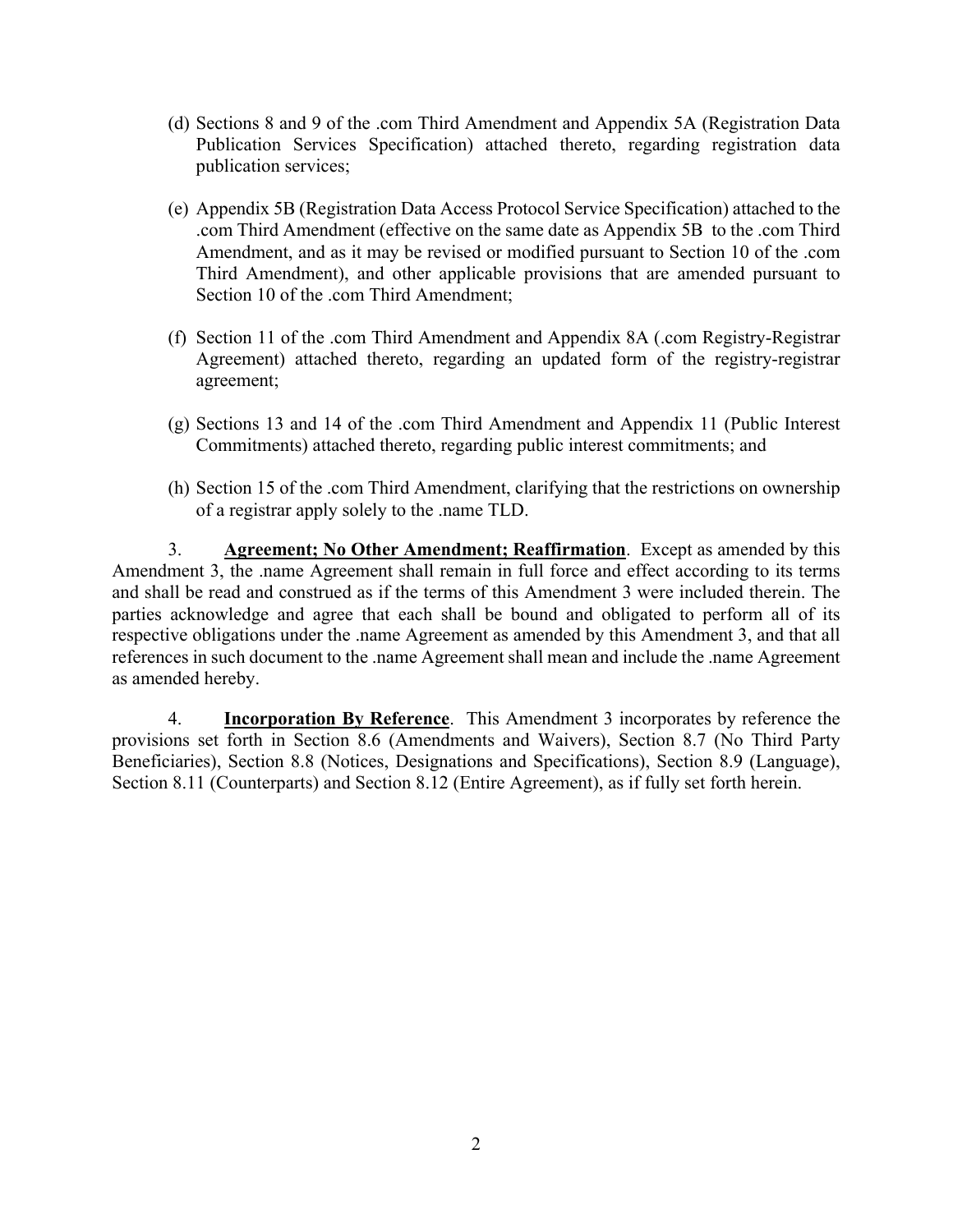- (d) Sections 8 and 9 of the .com Third Amendment and Appendix 5A (Registration Data Publication Services Specification) attached thereto, regarding registration data publication services;
- (e) Appendix 5B (Registration Data Access Protocol Service Specification) attached to the .com Third Amendment (effective on the same date as Appendix 5B to the .com Third Amendment, and as it may be revised or modified pursuant to Section 10 of the .com Third Amendment), and other applicable provisions that are amended pursuant to Section 10 of the .com Third Amendment:
- (f) Section 11 of the .com Third Amendment and Appendix 8A (.com Registry-Registrar Agreement) attached thereto, regarding an updated form of the registry-registrar agreement;
- (g) Sections 13 and 14 of the .com Third Amendment and Appendix 11 (Public Interest Commitments) attached thereto, regarding public interest commitments; and
- (h) Section 15 of the .com Third Amendment, clarifying that the restrictions on ownership of a registrar apply solely to the .name TLD.

3. **Agreement; No Other Amendment; Reaffirmation**. Except as amended by this Amendment 3, the .name Agreement shall remain in full force and effect according to its terms and shall be read and construed as if the terms of this Amendment 3 were included therein. The parties acknowledge and agree that each shall be bound and obligated to perform all of its respective obligations under the .name Agreement as amended by this Amendment 3, and that all references in such document to the .name Agreement shall mean and include the .name Agreement as amended hereby.

4. **Incorporation By Reference**. This Amendment 3 incorporates by reference the provisions set forth in Section 8.6 (Amendments and Waivers), Section 8.7 (No Third Party Beneficiaries), Section 8.8 (Notices, Designations and Specifications), Section 8.9 (Language), Section 8.11 (Counterparts) and Section 8.12 (Entire Agreement), as if fully set forth herein.